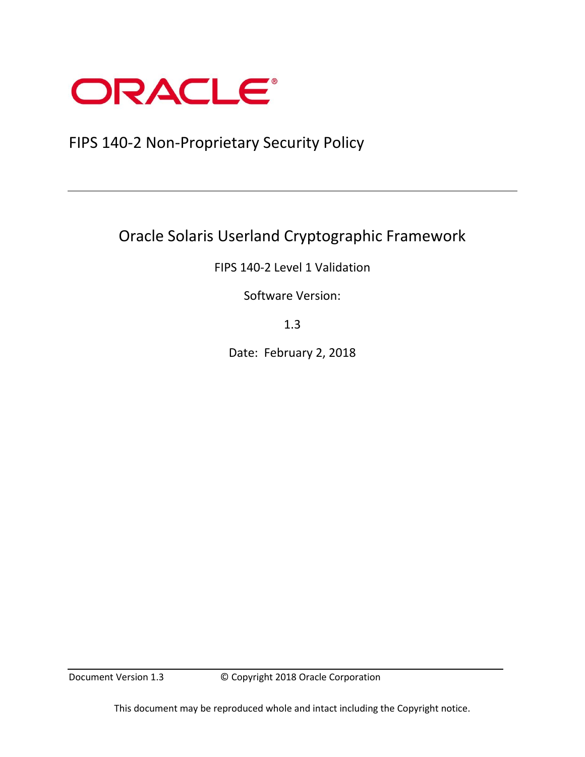

# FIPS 140-2 Non-Proprietary Security Policy

# Oracle Solaris Userland Cryptographic Framework

FIPS 140-2 Level 1 Validation

Software Version:

1.3

Date: February 2, 2018

Document Version 1.3 © Copyright 2018 Oracle Corporation

This document may be reproduced whole and intact including the Copyright notice.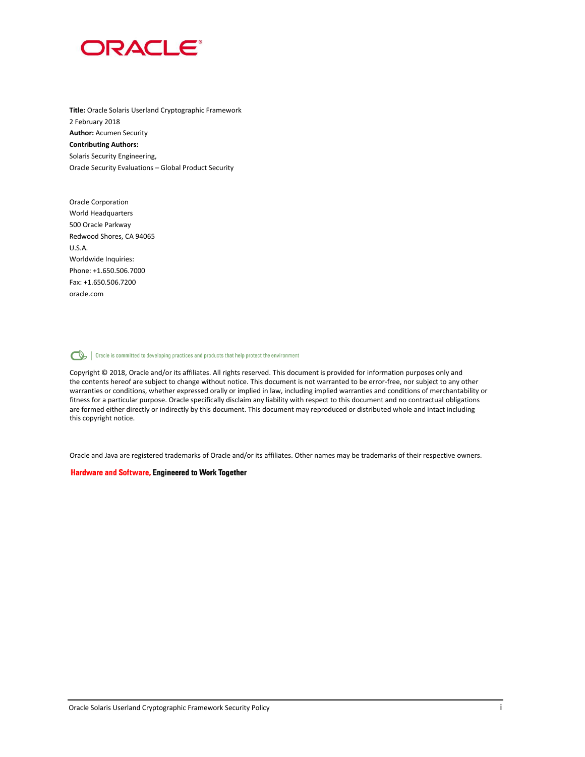

**Title:** Oracle Solaris Userland Cryptographic Framework 2 February 2018 **Author:** Acumen Security **Contributing Authors:**  Solaris Security Engineering, Oracle Security Evaluations – Global Product Security

Oracle Corporation World Headquarters 500 Oracle Parkway Redwood Shores, CA 94065 U.S.A. Worldwide Inquiries: Phone: +1.650.506.7000 Fax: +1.650.506.7200 oracle.com

Oracle is committed to developing practices and products that help protect the environment

Copyright © 2018, Oracle and/or its affiliates. All rights reserved. This document is provided for information purposes only and the contents hereof are subject to change without notice. This document is not warranted to be error-free, nor subject to any other warranties or conditions, whether expressed orally or implied in law, including implied warranties and conditions of merchantability or fitness for a particular purpose. Oracle specifically disclaim any liability with respect to this document and no contractual obligations are formed either directly or indirectly by this document. This document may reproduced or distributed whole and intact including this copyright notice.

Oracle and Java are registered trademarks of Oracle and/or its affiliates. Other names may be trademarks of their respective owners.

#### **Hardware and Software, Engineered to Work Together**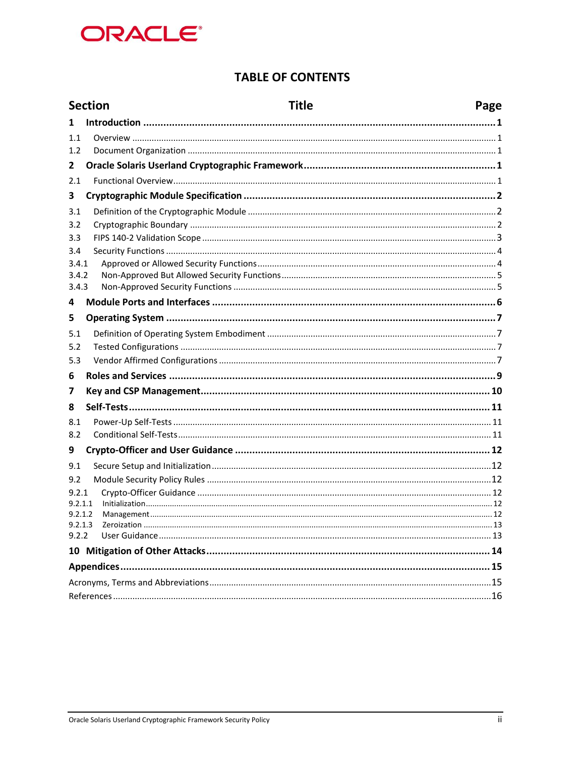

### **TABLE OF CONTENTS**

|              |  | <b>Section</b><br><b>Title</b><br>Page |  |
|--------------|--|----------------------------------------|--|
| 1            |  |                                        |  |
| 1.1          |  |                                        |  |
| 1.2          |  |                                        |  |
| $\mathbf{2}$ |  |                                        |  |
| 2.1          |  |                                        |  |
| 3            |  |                                        |  |
| 3.1          |  |                                        |  |
| 3.2          |  |                                        |  |
| 3.3          |  |                                        |  |
| 3.4          |  |                                        |  |
| 3.4.1        |  |                                        |  |
| 3.4.2        |  |                                        |  |
| 3.4.3        |  |                                        |  |
| 4            |  |                                        |  |
| 5            |  |                                        |  |
| 5.1          |  |                                        |  |
| 5.2          |  |                                        |  |
| 5.3          |  |                                        |  |
| 6            |  |                                        |  |
| 7            |  |                                        |  |
| 8            |  |                                        |  |
| 8.1          |  |                                        |  |
| 8.2          |  |                                        |  |
| 9            |  |                                        |  |
| 9.1          |  |                                        |  |
| 9.2          |  |                                        |  |
| 9.2.1        |  |                                        |  |
| 9.2.1.1      |  |                                        |  |
| 9.2.1.2      |  |                                        |  |
| 9.2.2        |  |                                        |  |
|              |  |                                        |  |
|              |  |                                        |  |
|              |  |                                        |  |
|              |  |                                        |  |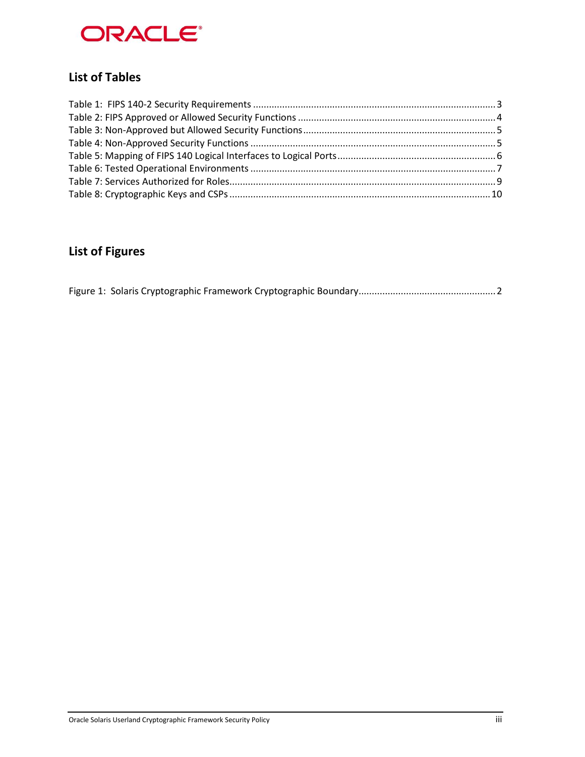

## **List of Tables**

# **List of Figures**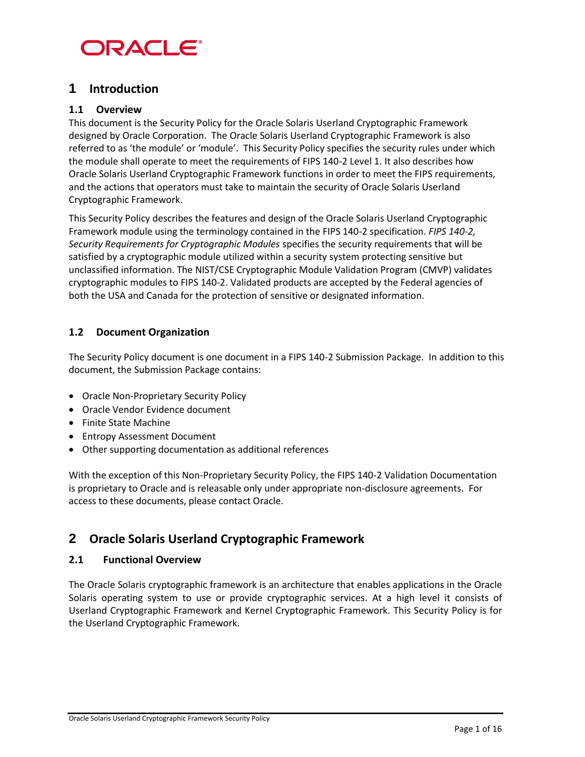

### **1 Introduction**

#### **1.1 Overview**

This document is the Security Policy for the Oracle Solaris Userland Cryptographic Framework designed by Oracle Corporation. The Oracle Solaris Userland Cryptographic Framework is also referred to as 'the module' or 'module'. This Security Policy specifies the security rules under which the module shall operate to meet the requirements of FIPS 140-2 Level 1. It also describes how Oracle Solaris Userland Cryptographic Framework functions in order to meet the FIPS requirements, and the actions that operators must take to maintain the security of Oracle Solaris Userland Cryptographic Framework.

This Security Policy describes the features and design of the Oracle Solaris Userland Cryptographic Framework module using the terminology contained in the FIPS 140-2 specification. *FIPS 140-2, Security Requirements for Cryptographic Modules* specifies the security requirements that will be satisfied by a cryptographic module utilized within a security system protecting sensitive but unclassified information. The NIST/CSE Cryptographic Module Validation Program (CMVP) validates cryptographic modules to FIPS 140-2. Validated products are accepted by the Federal agencies of both the USA and Canada for the protection of sensitive or designated information.

#### **1.2 Document Organization**

The Security Policy document is one document in a FIPS 140-2 Submission Package. In addition to this document, the Submission Package contains:

- Oracle Non-Proprietary Security Policy
- Oracle Vendor Evidence document
- Finite State Machine
- Entropy Assessment Document
- Other supporting documentation as additional references

With the exception of this Non-Proprietary Security Policy, the FIPS 140-2 Validation Documentation is proprietary to Oracle and is releasable only under appropriate non-disclosure agreements. For access to these documents, please contact Oracle.

### **2 Oracle Solaris Userland Cryptographic Framework**

#### **2.1 Functional Overview**

The Oracle Solaris cryptographic framework is an architecture that enables applications in the Oracle Solaris operating system to use or provide cryptographic services. At a high level it consists of Userland Cryptographic Framework and Kernel Cryptographic Framework. This Security Policy is for the Userland Cryptographic Framework.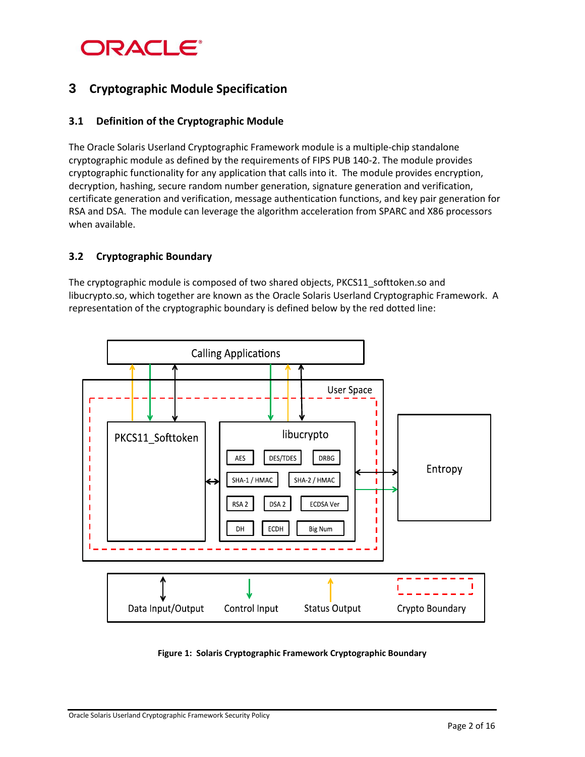# **ORACLE®**

### **3 Cryptographic Module Specification**

### **3.1 Definition of the Cryptographic Module**

The Oracle Solaris Userland Cryptographic Framework module is a multiple-chip standalone cryptographic module as defined by the requirements of FIPS PUB 140-2. The module provides cryptographic functionality for any application that calls into it. The module provides encryption, decryption, hashing, secure random number generation, signature generation and verification, certificate generation and verification, message authentication functions, and key pair generation for RSA and DSA. The module can leverage the algorithm acceleration from SPARC and X86 processors when available.

#### **3.2 Cryptographic Boundary**

The cryptographic module is composed of two shared objects, PKCS11\_softtoken.so and libucrypto.so, which together are known as the Oracle Solaris Userland Cryptographic Framework. A representation of the cryptographic boundary is defined below by the red dotted line:



#### **Figure 1: Solaris Cryptographic Framework Cryptographic Boundary**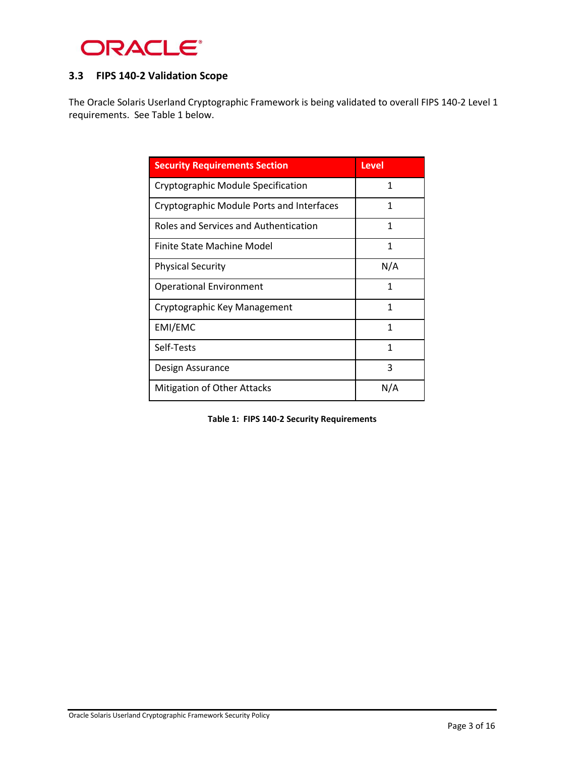

### **3.3 FIPS 140-2 Validation Scope**

The Oracle Solaris Userland Cryptographic Framework is being validated to overall FIPS 140-2 Level 1 requirements. See Table 1 below.

| <b>Security Requirements Section</b>      | Level |
|-------------------------------------------|-------|
| Cryptographic Module Specification        | 1     |
| Cryptographic Module Ports and Interfaces | 1     |
| Roles and Services and Authentication     | 1     |
| Finite State Machine Model                | 1     |
| <b>Physical Security</b>                  | N/A   |
| <b>Operational Environment</b>            | 1     |
| Cryptographic Key Management              | 1     |
| EMI/EMC                                   | 1     |
| Self-Tests                                | 1     |
| Design Assurance                          | 3     |
| Mitigation of Other Attacks               | N/A   |

**Table 1: FIPS 140-2 Security Requirements**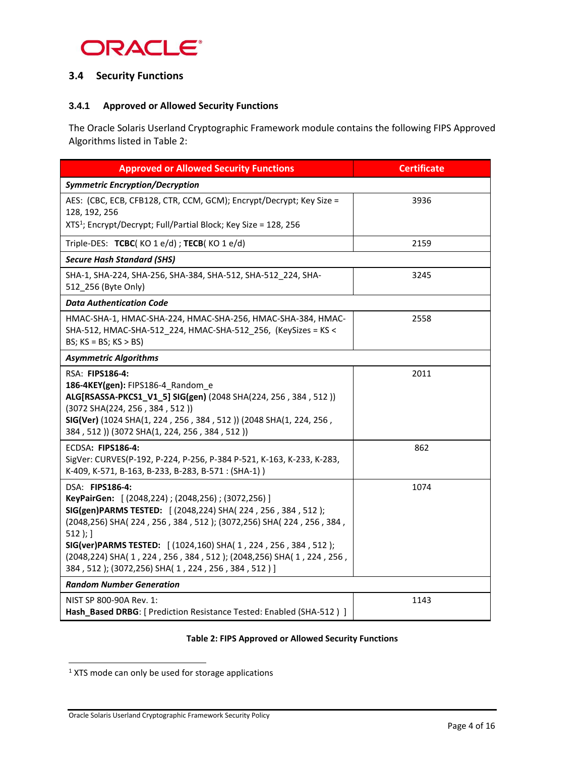

### **3.4 Security Functions**

#### **3.4.1 Approved or Allowed Security Functions**

The Oracle Solaris Userland Cryptographic Framework module contains the following FIPS Approved Algorithms listed in Table 2:

| <b>Approved or Allowed Security Functions</b>                                                                                                                                                                                                                                                                                                                                                              | <b>Certificate</b> |
|------------------------------------------------------------------------------------------------------------------------------------------------------------------------------------------------------------------------------------------------------------------------------------------------------------------------------------------------------------------------------------------------------------|--------------------|
| <b>Symmetric Encryption/Decryption</b>                                                                                                                                                                                                                                                                                                                                                                     |                    |
| AES: (CBC, ECB, CFB128, CTR, CCM, GCM); Encrypt/Decrypt; Key Size =<br>128, 192, 256                                                                                                                                                                                                                                                                                                                       | 3936               |
| XTS <sup>1</sup> ; Encrypt/Decrypt; Full/Partial Block; Key Size = 128, 256                                                                                                                                                                                                                                                                                                                                |                    |
| Triple-DES: TCBC(KO $1 \text{ e/d}$ ); TECB(KO $1 \text{ e/d}$ )                                                                                                                                                                                                                                                                                                                                           | 2159               |
| <b>Secure Hash Standard (SHS)</b>                                                                                                                                                                                                                                                                                                                                                                          |                    |
| SHA-1, SHA-224, SHA-256, SHA-384, SHA-512, SHA-512_224, SHA-<br>512 256 (Byte Only)                                                                                                                                                                                                                                                                                                                        | 3245               |
| <b>Data Authentication Code</b>                                                                                                                                                                                                                                                                                                                                                                            |                    |
| HMAC-SHA-1, HMAC-SHA-224, HMAC-SHA-256, HMAC-SHA-384, HMAC-<br>SHA-512, HMAC-SHA-512 224, HMAC-SHA-512 256, (KeySizes = KS <<br>BS; $KS = BS$ ; $KS > BS$ )                                                                                                                                                                                                                                                | 2558               |
| <b>Asymmetric Algorithms</b>                                                                                                                                                                                                                                                                                                                                                                               |                    |
| RSA: FIPS186-4:<br>186-4KEY(gen): FIPS186-4 Random e<br>ALG[RSASSA-PKCS1_V1_5] SIG(gen) (2048 SHA(224, 256, 384, 512))<br>(3072 SHA(224, 256, 384, 512))<br>SIG(Ver) (1024 SHA(1, 224, 256, 384, 512)) (2048 SHA(1, 224, 256,<br>384, 512)) (3072 SHA(1, 224, 256, 384, 512))                                                                                                                              | 2011               |
| ECDSA: FIPS186-4:<br>SigVer: CURVES(P-192, P-224, P-256, P-384 P-521, K-163, K-233, K-283,<br>K-409, K-571, B-163, B-233, B-283, B-571: (SHA-1))                                                                                                                                                                                                                                                           | 862                |
| DSA: FIPS186-4:<br>KeyPairGen: [(2048,224); (2048,256); (3072,256)]<br>SIG(gen)PARMS TESTED: [(2048,224) SHA(224, 256, 384, 512);<br>(2048,256) SHA(224, 256, 384, 512); (3072,256) SHA(224, 256, 384,<br>$512$ ); ]<br>SIG(ver)PARMS TESTED: [(1024,160) SHA(1, 224, 256, 384, 512);<br>(2048,224) SHA(1,224,256,384,512); (2048,256) SHA(1,224,256,<br>384, 512); (3072,256) SHA(1, 224, 256, 384, 512)] | 1074               |
| <b>Random Number Generation</b>                                                                                                                                                                                                                                                                                                                                                                            |                    |
| NIST SP 800-90A Rev. 1:<br>Hash_Based DRBG: [ Prediction Resistance Tested: Enabled (SHA-512 ) ]                                                                                                                                                                                                                                                                                                           | 1143               |

#### **Table 2: FIPS Approved or Allowed Security Functions**

l

 $1$  XTS mode can only be used for storage applications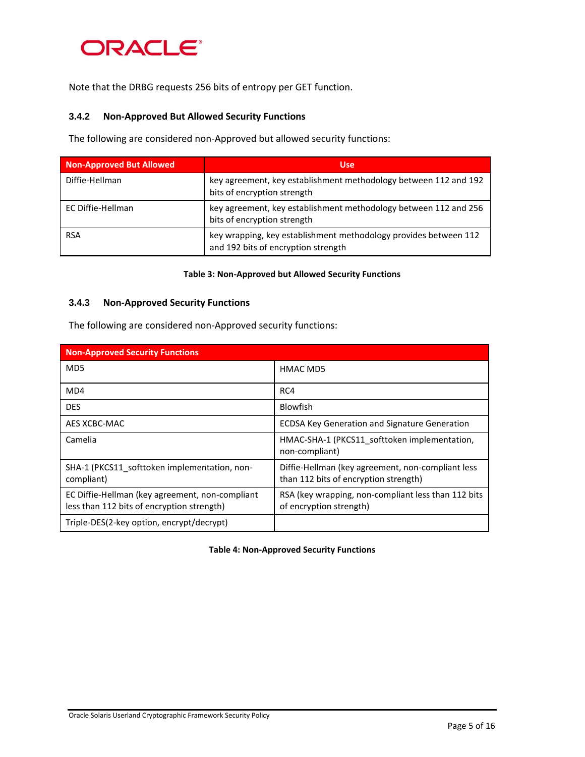

Note that the DRBG requests 256 bits of entropy per GET function.

#### <span id="page-8-0"></span>**3.4.2 Non-Approved But Allowed Security Functions**

The following are considered non-Approved but allowed security functions:

| <b>Non-Approved But Allowed</b> | <b>Use</b>                                                                                              |
|---------------------------------|---------------------------------------------------------------------------------------------------------|
| Diffie-Hellman                  | key agreement, key establishment methodology between 112 and 192<br>bits of encryption strength         |
| EC Diffie-Hellman               | key agreement, key establishment methodology between 112 and 256<br>bits of encryption strength         |
| <b>RSA</b>                      | key wrapping, key establishment methodology provides between 112<br>and 192 bits of encryption strength |

#### **Table 3: Non-Approved but Allowed Security Functions**

#### **3.4.3 Non-Approved Security Functions**

The following are considered non-Approved security functions:

| <b>Non-Approved Security Functions</b>                                                        |                                                                                            |  |  |
|-----------------------------------------------------------------------------------------------|--------------------------------------------------------------------------------------------|--|--|
| MD <sub>5</sub>                                                                               | HMAC MD5                                                                                   |  |  |
| MD4                                                                                           | RC4                                                                                        |  |  |
| <b>DES</b>                                                                                    | <b>Blowfish</b>                                                                            |  |  |
| AES XCBC-MAC                                                                                  | <b>ECDSA Key Generation and Signature Generation</b>                                       |  |  |
| Camelia                                                                                       | HMAC-SHA-1 (PKCS11 softtoken implementation,<br>non-compliant)                             |  |  |
| SHA-1 (PKCS11 softtoken implementation, non-<br>compliant)                                    | Diffie-Hellman (key agreement, non-compliant less<br>than 112 bits of encryption strength) |  |  |
| EC Diffie-Hellman (key agreement, non-compliant<br>less than 112 bits of encryption strength) | RSA (key wrapping, non-compliant less than 112 bits<br>of encryption strength)             |  |  |
| Triple-DES(2-key option, encrypt/decrypt)                                                     |                                                                                            |  |  |

**Table 4: Non-Approved Security Functions**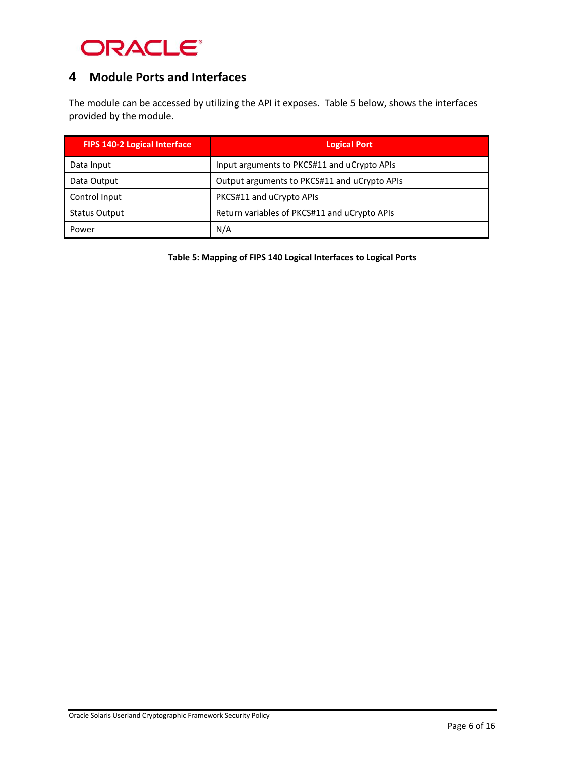

### **4 Module Ports and Interfaces**

The module can be accessed by utilizing the API it exposes. Table 5 below, shows the interfaces provided by the module.

| <b>FIPS 140-2 Logical Interface</b> | <b>Logical Port</b>                          |
|-------------------------------------|----------------------------------------------|
| Data Input                          | Input arguments to PKCS#11 and uCrypto APIs  |
| Data Output                         | Output arguments to PKCS#11 and uCrypto APIs |
| Control Input                       | PKCS#11 and uCrypto APIs                     |
| <b>Status Output</b>                | Return variables of PKCS#11 and uCrypto APIs |
| Power                               | N/A                                          |

**Table 5: Mapping of FIPS 140 Logical Interfaces to Logical Ports**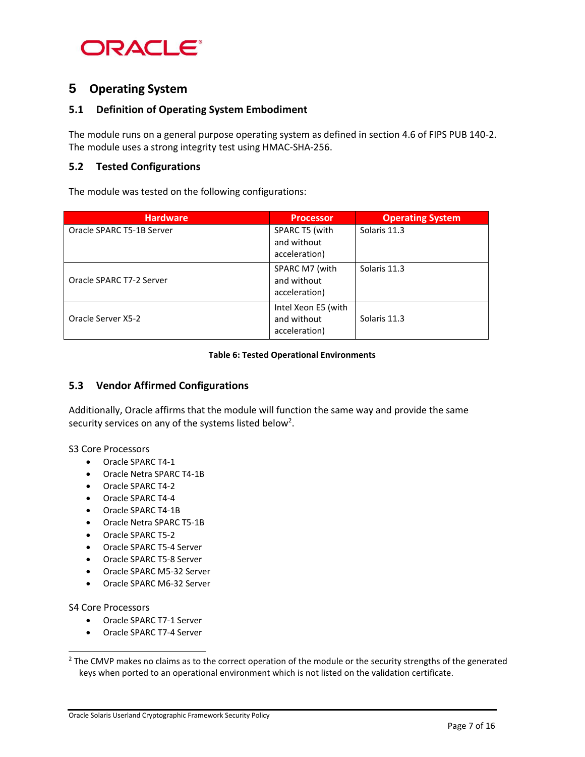

### **5 Operating System**

#### **5.1 Definition of Operating System Embodiment**

The module runs on a general purpose operating system as defined in section 4.6 of FIPS PUB 140-2. The module uses a strong integrity test using HMAC-SHA-256.

#### **5.2 Tested Configurations**

The module was tested on the following configurations:

| <b>Hardware</b>           | <b>Processor</b>                                    | <b>Operating System</b> |
|---------------------------|-----------------------------------------------------|-------------------------|
| Oracle SPARC T5-1B Server | SPARC T5 (with<br>and without<br>acceleration)      | Solaris 11.3            |
| Oracle SPARC T7-2 Server  | SPARC M7 (with<br>and without<br>acceleration)      | Solaris 11.3            |
| Oracle Server X5-2        | Intel Xeon E5 (with<br>and without<br>acceleration) | Solaris 11.3            |

#### **Table 6: Tested Operational Environments**

#### **5.3 Vendor Affirmed Configurations**

Additionally, Oracle affirms that the module will function the same way and provide the same security services on any of the systems listed below<sup>2</sup>.

S3 Core Processors

- Oracle SPARC T4-1
- Oracle Netra SPARC T4-1B
- Oracle SPARC T4-2
- Oracle SPARC T4-4
- Oracle SPARC T4-1B
- Oracle Netra SPARC T5-1B
- Oracle SPARC T5-2
- Oracle SPARC T5-4 Server
- Oracle SPARC T5-8 Server
- Oracle SPARC M5-32 Server
- Oracle SPARC M6-32 Server

S4 Core Processors

l

- Oracle SPARC T7-1 Server
- Oracle SPARC T7-4 Server

<sup>&</sup>lt;sup>2</sup> The CMVP makes no claims as to the correct operation of the module or the security strengths of the generated keys when ported to an operational environment which is not listed on the validation certificate.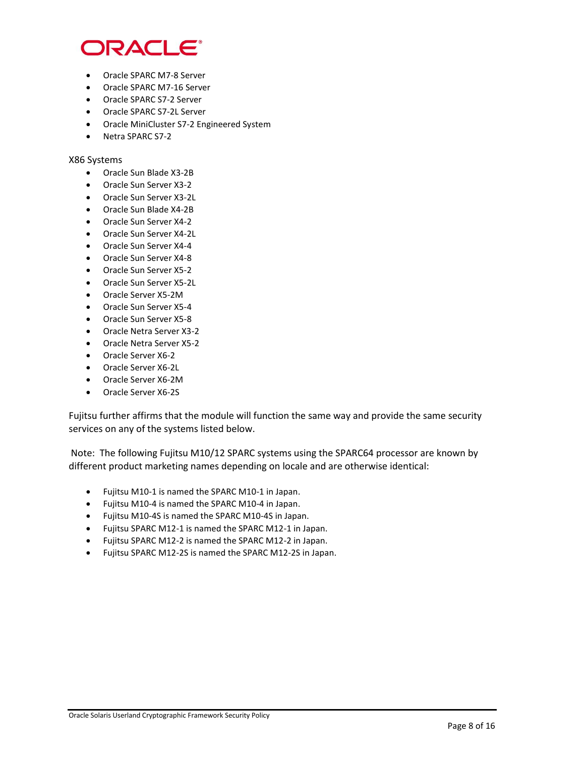

- Oracle SPARC M7-8 Server
- Oracle SPARC M7-16 Server
- Oracle SPARC S7-2 Server
- Oracle SPARC S7-2L Server
- Oracle MiniCluster S7-2 Engineered System
- Netra SPARC S7-2

#### X86 Systems

- Oracle Sun Blade X3-2B
- Oracle Sun Server X3-2
- Oracle Sun Server X3-2L
- Oracle Sun Blade X4-2B
- Oracle Sun Server X4-2
- Oracle Sun Server X4-2L
- Oracle Sun Server X4-4
- Oracle Sun Server X4-8
- Oracle Sun Server X5-2
- Oracle Sun Server X5-2L
- Oracle Server X5-2M
- Oracle Sun Server X5-4
- Oracle Sun Server X5-8
- Oracle Netra Server X3-2
- Oracle Netra Server X5-2
- Oracle Server X6-2
- Oracle Server X6-2L
- Oracle Server X6-2M
- Oracle Server X6-2S

Fujitsu further affirms that the module will function the same way and provide the same security services on any of the systems listed below.

Note: The following Fujitsu M10/12 SPARC systems using the SPARC64 processor are known by different product marketing names depending on locale and are otherwise identical:

- Fujitsu M10-1 is named the SPARC M10-1 in Japan.
- Fujitsu M10-4 is named the SPARC M10-4 in Japan.
- Fujitsu M10-4S is named the SPARC M10-4S in Japan.
- Fujitsu SPARC M12-1 is named the SPARC M12-1 in Japan.
- Fujitsu SPARC M12-2 is named the SPARC M12-2 in Japan.
- Fujitsu SPARC M12-2S is named the SPARC M12-2S in Japan.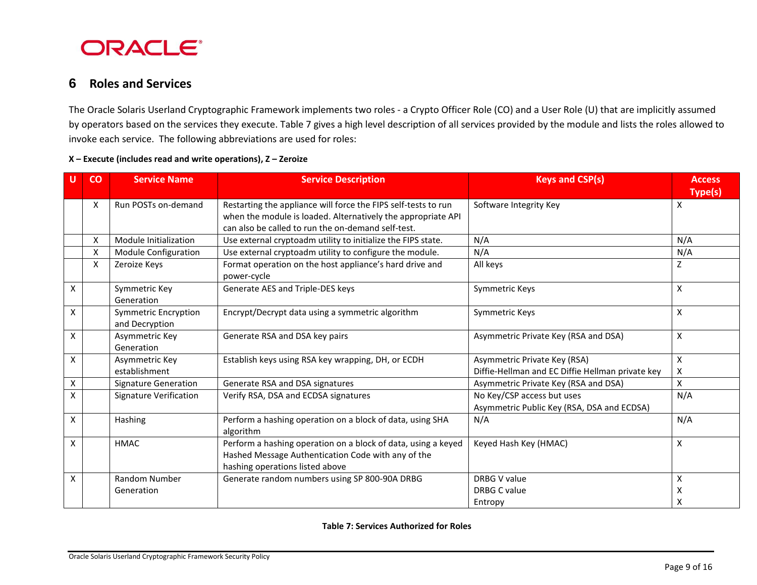

### **6 Roles and Services**

The Oracle Solaris Userland Cryptographic Framework implements two roles - a Crypto Officer Role (CO) and a User Role (U) that are implicitly assumed by operators based on the services they execute. Table 7 gives a high level description of all services provided by the module and lists the roles allowed to invoke each service. The following abbreviations are used for roles:

|                           | co | <b>Service Name</b>                           | <b>Service Description</b>                                                                                                                                                           | <b>Keys and CSP(s)</b>                                                           | <b>Access</b><br><b>Type(s)</b> |
|---------------------------|----|-----------------------------------------------|--------------------------------------------------------------------------------------------------------------------------------------------------------------------------------------|----------------------------------------------------------------------------------|---------------------------------|
|                           | X  | Run POSTs on-demand                           | Restarting the appliance will force the FIPS self-tests to run<br>when the module is loaded. Alternatively the appropriate API<br>can also be called to run the on-demand self-test. | Software Integrity Key                                                           | X                               |
|                           | X  | Module Initialization                         | Use external cryptoadm utility to initialize the FIPS state.                                                                                                                         | N/A                                                                              | N/A                             |
|                           | X  | Module Configuration                          | Use external cryptoadm utility to configure the module.                                                                                                                              | N/A                                                                              | N/A                             |
|                           | X  | Zeroize Keys                                  | Format operation on the host appliance's hard drive and<br>power-cycle                                                                                                               | All keys                                                                         | Z                               |
| $\boldsymbol{\mathsf{X}}$ |    | Symmetric Key<br>Generation                   | Generate AES and Triple-DES keys                                                                                                                                                     | Symmetric Keys                                                                   | X                               |
| X                         |    | <b>Symmetric Encryption</b><br>and Decryption | Encrypt/Decrypt data using a symmetric algorithm                                                                                                                                     | Symmetric Keys                                                                   | X                               |
| $\boldsymbol{\mathsf{X}}$ |    | Asymmetric Key<br>Generation                  | Generate RSA and DSA key pairs                                                                                                                                                       | Asymmetric Private Key (RSA and DSA)                                             | X                               |
| $\boldsymbol{\mathsf{x}}$ |    | Asymmetric Key<br>establishment               | Establish keys using RSA key wrapping, DH, or ECDH                                                                                                                                   | Asymmetric Private Key (RSA)<br>Diffie-Hellman and EC Diffie Hellman private key | $\pmb{\mathsf{X}}$<br>X         |
| $\pmb{\mathsf{X}}$        |    | <b>Signature Generation</b>                   | Generate RSA and DSA signatures                                                                                                                                                      | Asymmetric Private Key (RSA and DSA)                                             | X                               |
| $\boldsymbol{\mathsf{X}}$ |    | <b>Signature Verification</b>                 | Verify RSA, DSA and ECDSA signatures                                                                                                                                                 | No Key/CSP access but uses<br>Asymmetric Public Key (RSA, DSA and ECDSA)         | N/A                             |
| $\boldsymbol{\mathsf{X}}$ |    | Hashing                                       | Perform a hashing operation on a block of data, using SHA<br>algorithm                                                                                                               | N/A                                                                              | N/A                             |
| $\boldsymbol{\mathsf{X}}$ |    | <b>HMAC</b>                                   | Perform a hashing operation on a block of data, using a keyed<br>Hashed Message Authentication Code with any of the<br>hashing operations listed above                               | Keyed Hash Key (HMAC)                                                            | X                               |
| X                         |    | <b>Random Number</b>                          | Generate random numbers using SP 800-90A DRBG                                                                                                                                        | DRBG V value                                                                     | X                               |
|                           |    | Generation                                    |                                                                                                                                                                                      | DRBG C value                                                                     | х                               |
|                           |    |                                               |                                                                                                                                                                                      | Entropy                                                                          | X                               |

#### **X – Execute (includes read and write operations), Z – Zeroize**

**Table 7: Services Authorized for Roles**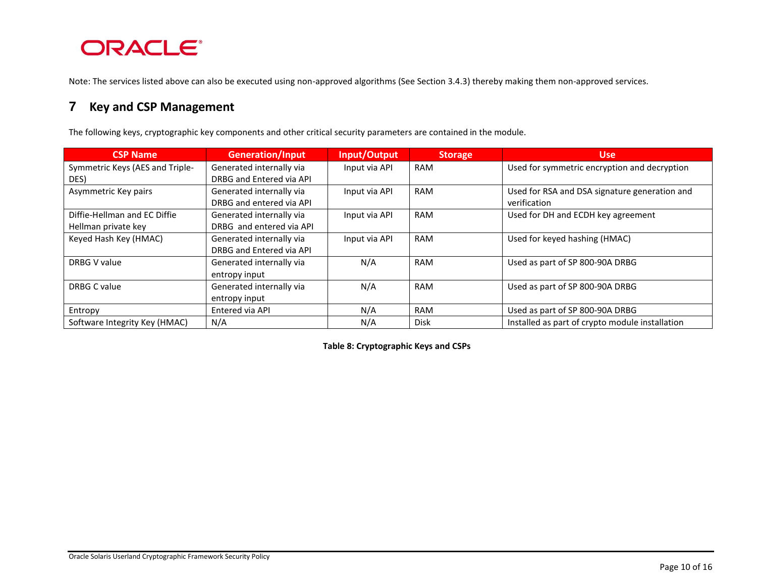# **ORACLE®**

Note: The services listed above can also be executed using non-approved algorithms (See Sectio[n 3.4.3\)](#page-8-0) thereby making them non-approved services.

### **7 Key and CSP Management**

The following keys, cryptographic key components and other critical security parameters are contained in the module.

| <b>CSP Name</b>                 | <b>Generation/Input</b>  | Input/Output  | <b>Storage</b> | <b>Use</b>                                      |
|---------------------------------|--------------------------|---------------|----------------|-------------------------------------------------|
| Symmetric Keys (AES and Triple- | Generated internally via | Input via API | <b>RAM</b>     | Used for symmetric encryption and decryption    |
| DES)                            | DRBG and Entered via API |               |                |                                                 |
| Asymmetric Key pairs            | Generated internally via | Input via API | <b>RAM</b>     | Used for RSA and DSA signature generation and   |
|                                 | DRBG and entered via API |               |                | verification                                    |
| Diffie-Hellman and EC Diffie    | Generated internally via | Input via API | <b>RAM</b>     | Used for DH and ECDH key agreement              |
| Hellman private key             | DRBG and entered via API |               |                |                                                 |
| Keyed Hash Key (HMAC)           | Generated internally via | Input via API | <b>RAM</b>     | Used for keyed hashing (HMAC)                   |
|                                 | DRBG and Entered via API |               |                |                                                 |
| DRBG V value                    | Generated internally via | N/A           | <b>RAM</b>     | Used as part of SP 800-90A DRBG                 |
|                                 | entropy input            |               |                |                                                 |
| <b>DRBG C value</b>             | Generated internally via | N/A           | <b>RAM</b>     | Used as part of SP 800-90A DRBG                 |
|                                 | entropy input            |               |                |                                                 |
| Entropy                         | Entered via API          | N/A           | <b>RAM</b>     | Used as part of SP 800-90A DRBG                 |
| Software Integrity Key (HMAC)   | N/A                      | N/A           | <b>Disk</b>    | Installed as part of crypto module installation |

**Table 8: Cryptographic Keys and CSPs**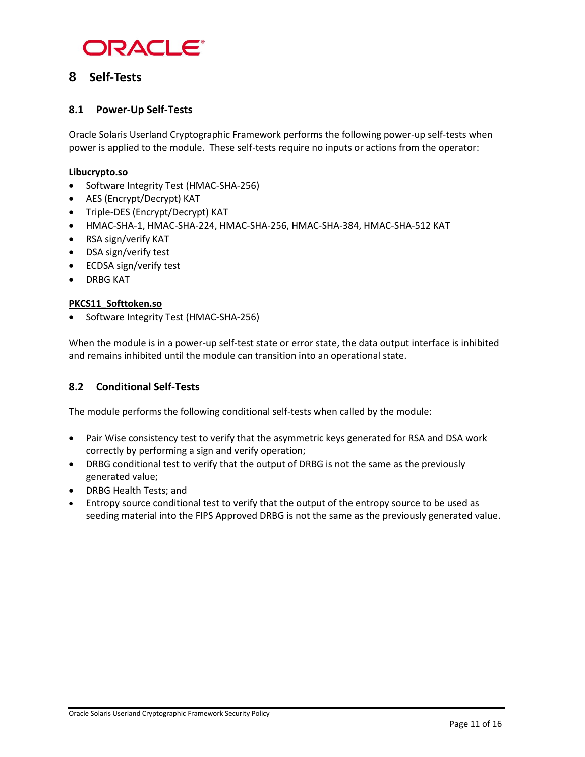

### **8 Self-Tests**

#### **8.1 Power-Up Self-Tests**

Oracle Solaris Userland Cryptographic Framework performs the following power-up self-tests when power is applied to the module. These self-tests require no inputs or actions from the operator:

#### **Libucrypto.so**

- Software Integrity Test (HMAC-SHA-256)
- AES (Encrypt/Decrypt) KAT
- Triple-DES (Encrypt/Decrypt) KAT
- HMAC-SHA-1, HMAC-SHA-224, HMAC-SHA-256, HMAC-SHA-384, HMAC-SHA-512 KAT
- RSA sign/verify KAT
- DSA sign/verify test
- ECDSA sign/verify test
- DRBG KAT

#### **PKCS11\_Softtoken.so**

• Software Integrity Test (HMAC-SHA-256)

When the module is in a power-up self-test state or error state, the data output interface is inhibited and remains inhibited until the module can transition into an operational state.

#### **8.2 Conditional Self-Tests**

The module performs the following conditional self-tests when called by the module:

- Pair Wise consistency test to verify that the asymmetric keys generated for RSA and DSA work correctly by performing a sign and verify operation;
- DRBG conditional test to verify that the output of DRBG is not the same as the previously generated value;
- DRBG Health Tests; and
- Entropy source conditional test to verify that the output of the entropy source to be used as seeding material into the FIPS Approved DRBG is not the same as the previously generated value.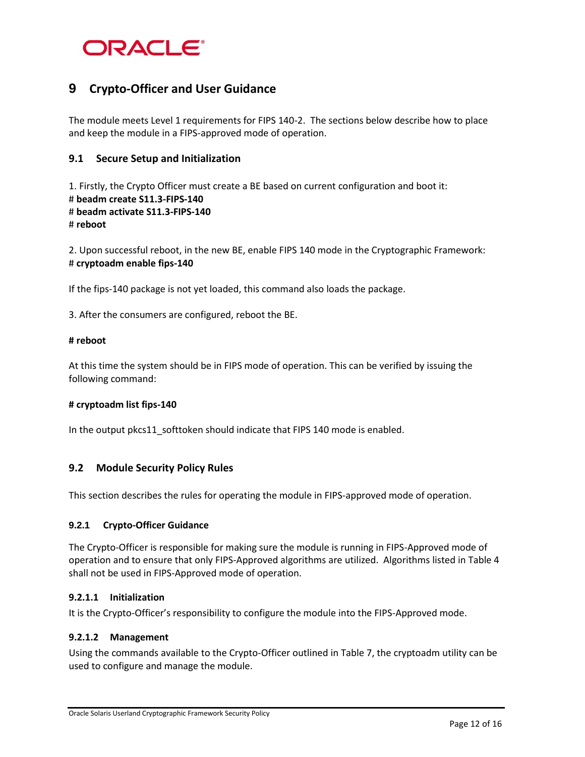

### **9 Crypto-Officer and User Guidance**

The module meets Level 1 requirements for FIPS 140-2. The sections below describe how to place and keep the module in a FIPS-approved mode of operation.

#### **9.1 Secure Setup and Initialization**

1. Firstly, the Crypto Officer must create a BE based on current configuration and boot it: # **beadm create S11.3-FIPS-140** # **beadm activate S11.3-FIPS-140** # **reboot**

2. Upon successful reboot, in the new BE, enable FIPS 140 mode in the Cryptographic Framework: # **cryptoadm enable fips-140**

If the fips-140 package is not yet loaded, this command also loads the package.

3. After the consumers are configured, reboot the BE.

#### **# reboot**

At this time the system should be in FIPS mode of operation. This can be verified by issuing the following command:

#### **# cryptoadm list fips-140**

In the output pkcs11\_softtoken should indicate that FIPS 140 mode is enabled.

#### **9.2 Module Security Policy Rules**

This section describes the rules for operating the module in FIPS-approved mode of operation.

#### **9.2.1 Crypto-Officer Guidance**

The Crypto-Officer is responsible for making sure the module is running in FIPS-Approved mode of operation and to ensure that only FIPS-Approved algorithms are utilized. Algorithms listed in Table 4 shall not be used in FIPS-Approved mode of operation.

#### **9.2.1.1 Initialization**

It is the Crypto-Officer's responsibility to configure the module into the FIPS-Approved mode.

#### **9.2.1.2 Management**

Using the commands available to the Crypto-Officer outlined in Table 7, the cryptoadm utility can be used to configure and manage the module.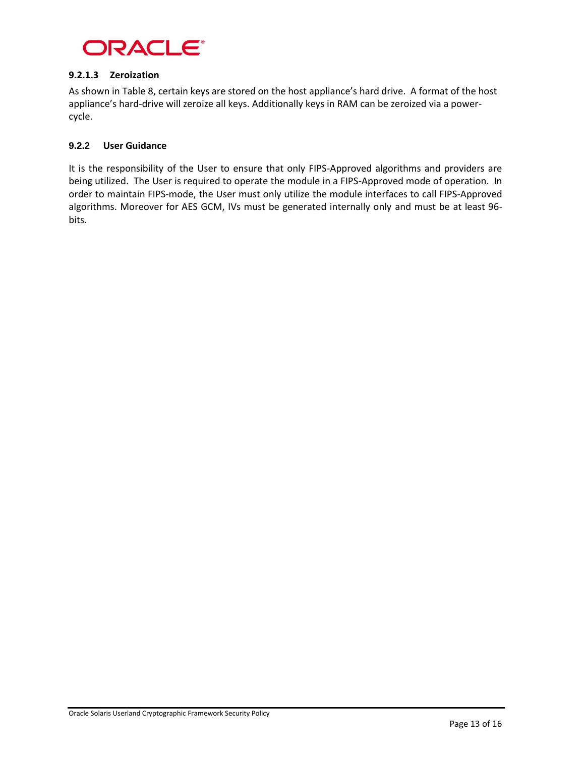

#### **9.2.1.3 Zeroization**

As shown in Table 8, certain keys are stored on the host appliance's hard drive. A format of the host appliance's hard-drive will zeroize all keys. Additionally keys in RAM can be zeroized via a powercycle.

#### **9.2.2 User Guidance**

It is the responsibility of the User to ensure that only FIPS-Approved algorithms and providers are being utilized. The User is required to operate the module in a FIPS-Approved mode of operation. In order to maintain FIPS-mode, the User must only utilize the module interfaces to call FIPS-Approved algorithms. Moreover for AES GCM, IVs must be generated internally only and must be at least 96 bits.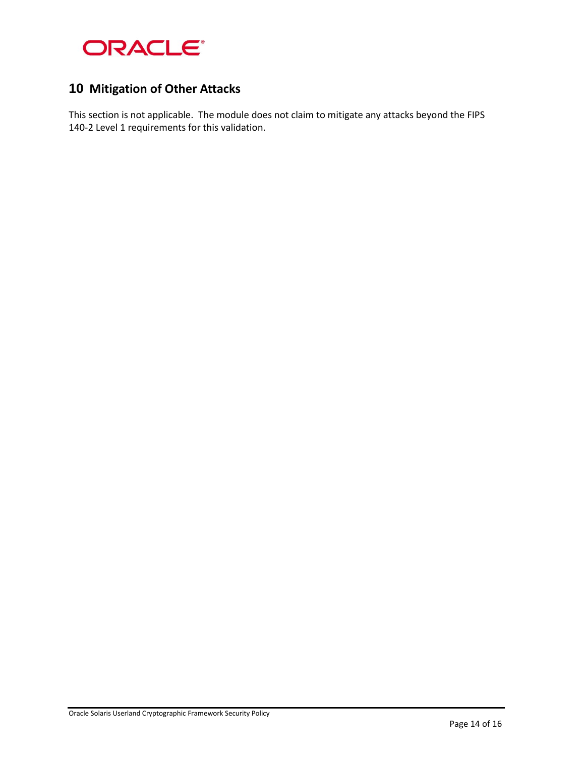

### **10 Mitigation of Other Attacks**

This section is not applicable. The module does not claim to mitigate any attacks beyond the FIPS 140-2 Level 1 requirements for this validation.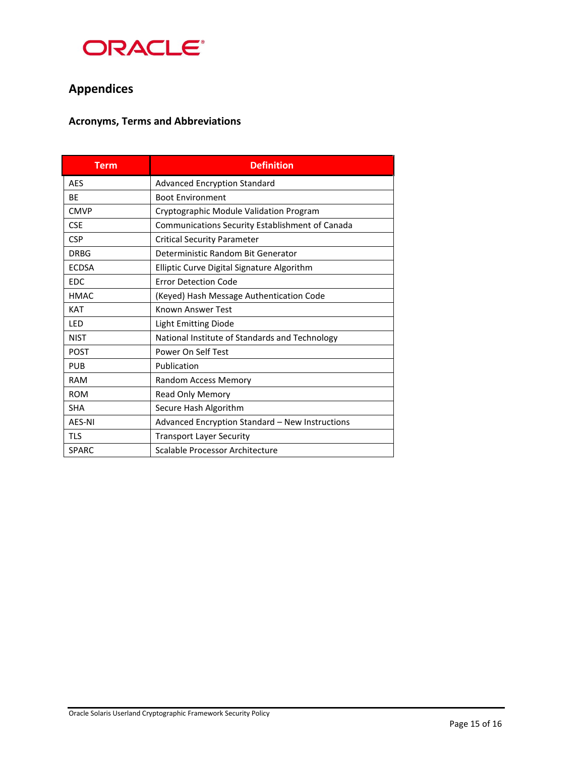

# **Appendices**

### **Acronyms, Terms and Abbreviations**

| <b>Term</b>                                   | <b>Definition</b>                                      |  |  |  |
|-----------------------------------------------|--------------------------------------------------------|--|--|--|
| <b>AES</b>                                    | Advanced Encryption Standard                           |  |  |  |
| <b>BE</b>                                     | <b>Boot Environment</b>                                |  |  |  |
| <b>CMVP</b>                                   | Cryptographic Module Validation Program                |  |  |  |
| <b>CSE</b>                                    | <b>Communications Security Establishment of Canada</b> |  |  |  |
| <b>CSP</b>                                    | <b>Critical Security Parameter</b>                     |  |  |  |
| <b>DRBG</b>                                   | Deterministic Random Bit Generator                     |  |  |  |
| <b>ECDSA</b>                                  | Elliptic Curve Digital Signature Algorithm             |  |  |  |
| <b>EDC</b>                                    | <b>Error Detection Code</b>                            |  |  |  |
| <b>HMAC</b>                                   | (Keyed) Hash Message Authentication Code               |  |  |  |
| <b>KAT</b>                                    | Known Answer Test                                      |  |  |  |
| LED                                           | <b>Light Emitting Diode</b>                            |  |  |  |
| <b>NIST</b>                                   | National Institute of Standards and Technology         |  |  |  |
| <b>POST</b>                                   | Power On Self Test                                     |  |  |  |
| <b>PUB</b>                                    | Publication                                            |  |  |  |
| <b>RAM</b>                                    | <b>Random Access Memory</b>                            |  |  |  |
| <b>ROM</b>                                    | Read Only Memory                                       |  |  |  |
| <b>SHA</b>                                    | Secure Hash Algorithm                                  |  |  |  |
| <b>AES-NI</b>                                 | Advanced Encryption Standard - New Instructions        |  |  |  |
| <b>TLS</b><br><b>Transport Layer Security</b> |                                                        |  |  |  |
| <b>SPARC</b>                                  | Scalable Processor Architecture                        |  |  |  |